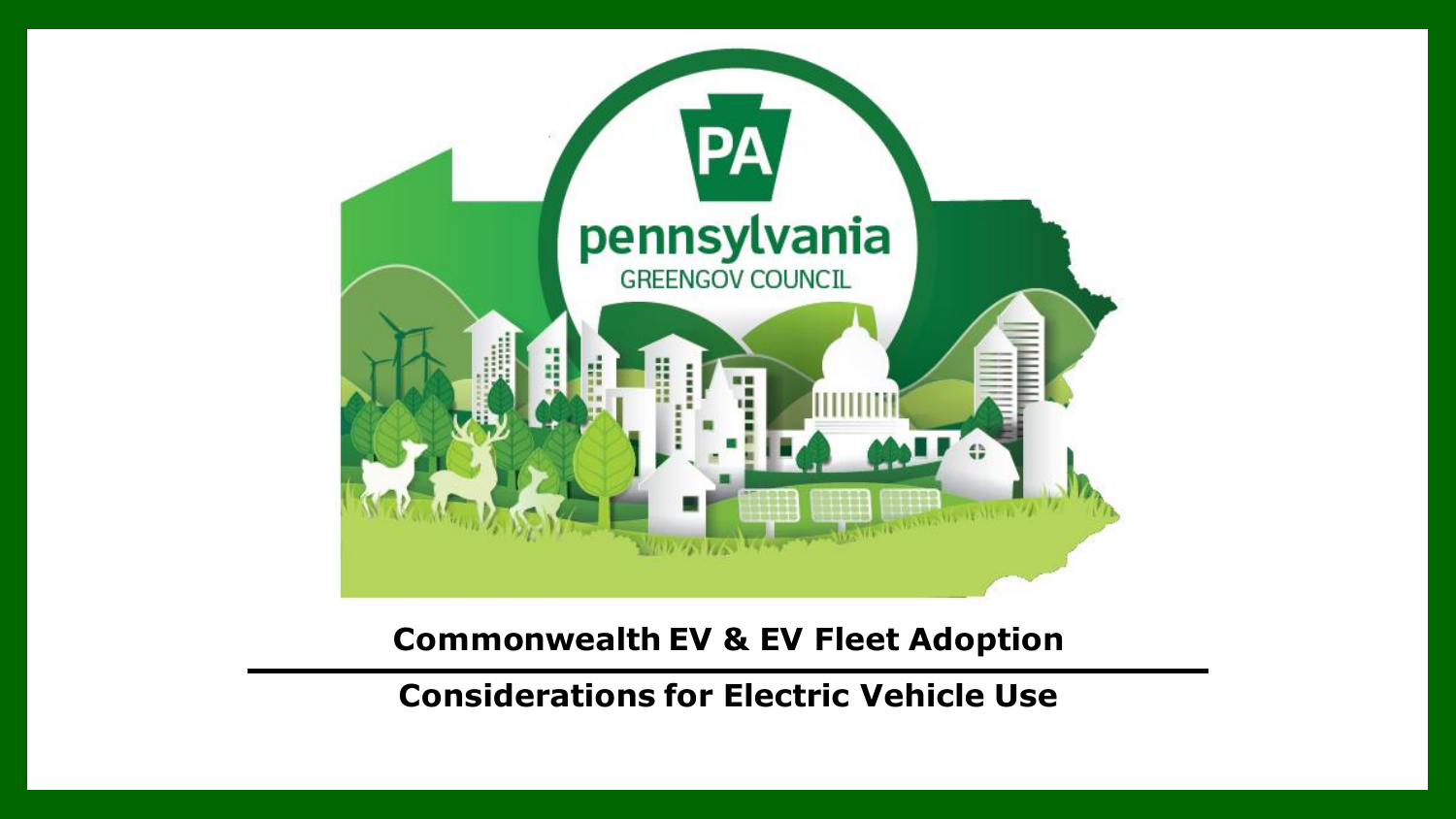

**Commonwealth EV & EV Fleet Adoption**

**Considerations for Electric Vehicle Use**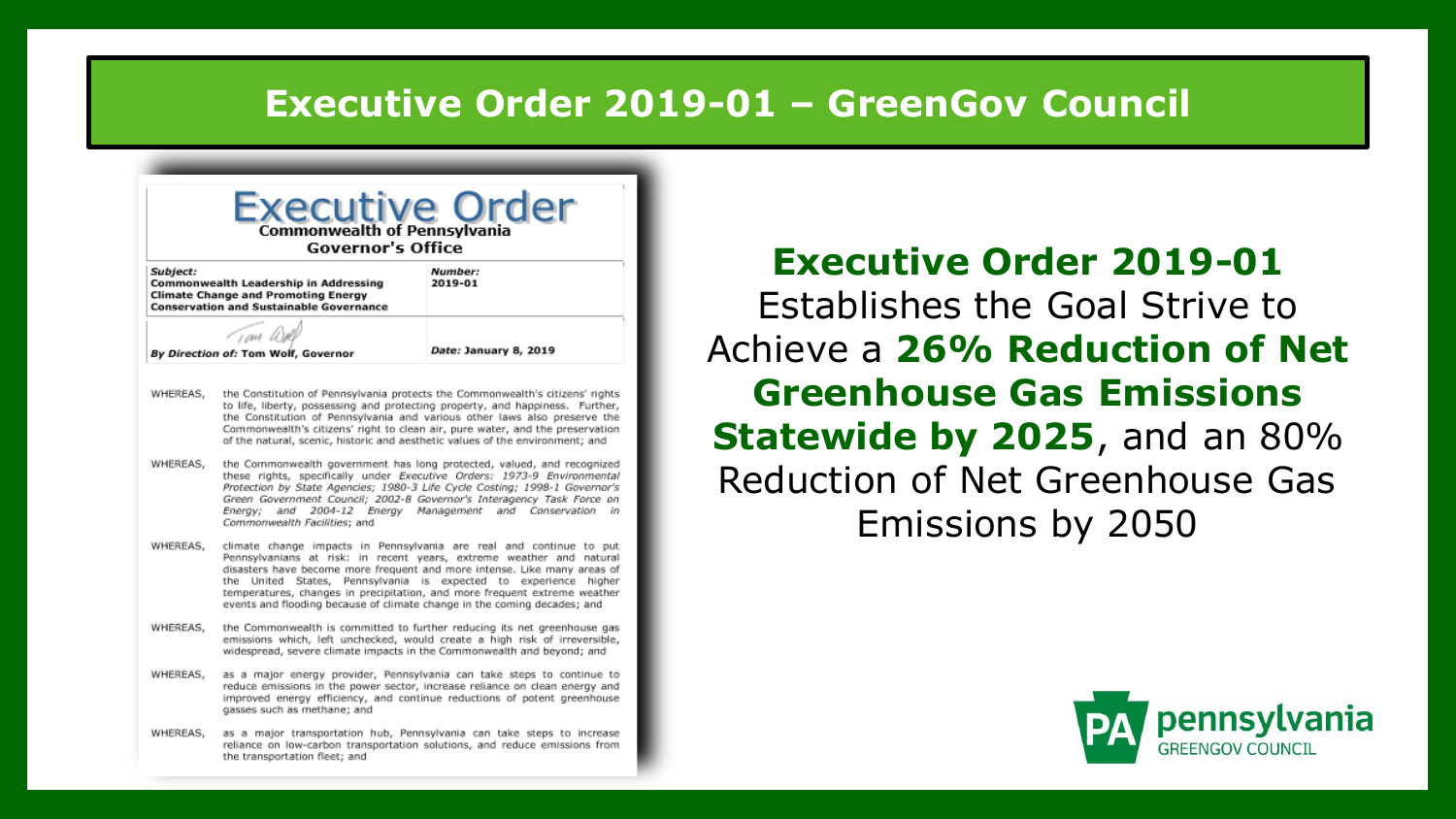#### **Executive Order 2019-01 – GreenGov Council**

| Subject:<br>Number:<br>Commonwealth Leadership in Addressing<br>2019-01<br><b>Climate Change and Promoting Energy</b><br><b>Conservation and Sustainable Governance</b> |                                                                                                                                                                                                                                                                                                                                                                                                                                                      |                                                                                                                                                                                                                                                                                                                              |  |  |  |
|-------------------------------------------------------------------------------------------------------------------------------------------------------------------------|------------------------------------------------------------------------------------------------------------------------------------------------------------------------------------------------------------------------------------------------------------------------------------------------------------------------------------------------------------------------------------------------------------------------------------------------------|------------------------------------------------------------------------------------------------------------------------------------------------------------------------------------------------------------------------------------------------------------------------------------------------------------------------------|--|--|--|
|                                                                                                                                                                         | TOM WA<br>By Direction of: Tom Wolf, Governor                                                                                                                                                                                                                                                                                                                                                                                                        | Date: January 8, 2019                                                                                                                                                                                                                                                                                                        |  |  |  |
| WHEREAS,                                                                                                                                                                | of the natural, scenic, historic and aesthetic values of the environment; and                                                                                                                                                                                                                                                                                                                                                                        | the Constitution of Pennsylvania protects the Commonwealth's citizens' rights<br>to life, liberty, possessing and protecting property, and happiness. Further,<br>the Constitution of Pennsylvania and various other laws also preserve the<br>Commonwealth's citizens' right to clean air, pure water, and the preservation |  |  |  |
| WHEREAS,                                                                                                                                                                | the Commonwealth government has long protected, valued, and recognized<br>these rights, specifically under Executive Orders: 1973-9 Environmental<br>Protection by State Agencies; 1980-3 Life Cycle Costing; 1998-1 Governor's<br>Green Government Council; 2002-8 Governor's Interagency Task Force on<br>and 2004-12 Energy Management<br>and Conservation<br>Enerav:<br>in<br>Commonwealth Facilities; and                                       |                                                                                                                                                                                                                                                                                                                              |  |  |  |
| WHEREAS,                                                                                                                                                                | climate change impacts in Pennsylvania are real and continue to put<br>Pennsylvanians at risk: in recent years, extreme weather and natural<br>disasters have become more frequent and more intense. Like many areas of<br>the United States, Pennsylvania is expected to experience higher<br>temperatures, changes in precipitation, and more frequent extreme weather<br>events and flooding because of climate change in the coming decades; and |                                                                                                                                                                                                                                                                                                                              |  |  |  |
| WHEREAS.                                                                                                                                                                | the Commonwealth is committed to further reducing its net greenhouse gas<br>emissions which, left unchecked, would create a high risk of irreversible,<br>widespread, severe climate impacts in the Commonwealth and beyond; and                                                                                                                                                                                                                     |                                                                                                                                                                                                                                                                                                                              |  |  |  |
| WHEREAS.                                                                                                                                                                | as a major energy provider, Pennsylvania can take steps to continue to<br>reduce emissions in the power sector, increase reliance on clean energy and<br>improved energy efficiency, and continue reductions of potent greenhouse<br>gasses such as methane; and                                                                                                                                                                                     |                                                                                                                                                                                                                                                                                                                              |  |  |  |
| WHEREAS,                                                                                                                                                                |                                                                                                                                                                                                                                                                                                                                                                                                                                                      | as a major transportation hub, Pennsylvania can take steps to increase<br>reliance on low-carbon transportation solutions, and reduce emissions from                                                                                                                                                                         |  |  |  |

**Executive Order 2019-01**  Establishes the Goal Strive to Achieve a **26% Reduction of Net Greenhouse Gas Emissions Statewide by 2025**, and an 80% Reduction of Net Greenhouse Gas Emissions by 2050

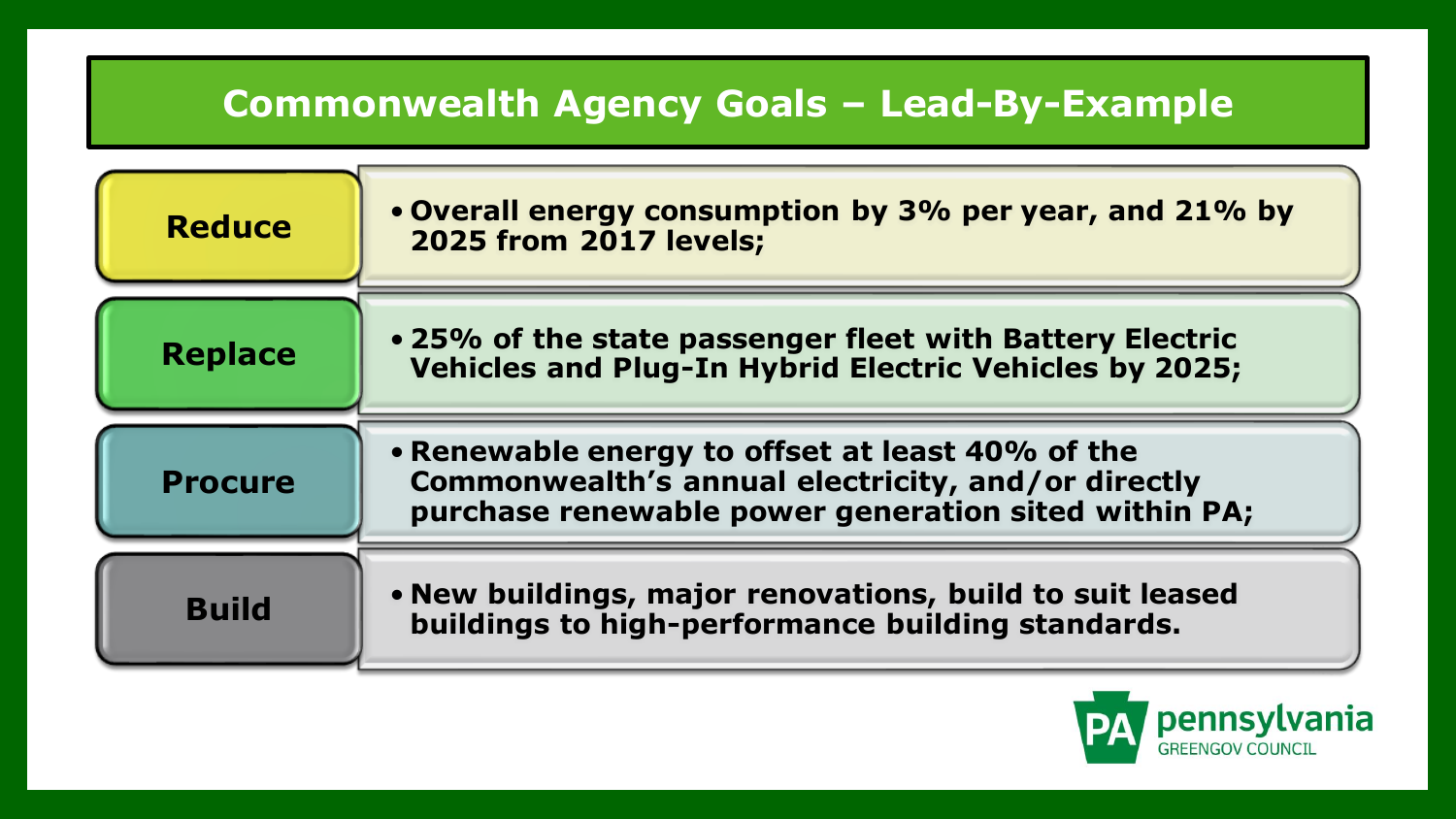# **Commonwealth Agency Goals – Lead-By-Example**

| <b>Reduce</b>  | • Overall energy consumption by 3% per year, and 21% by<br><b>2025 from 2017 levels;</b>                                                                       |
|----------------|----------------------------------------------------------------------------------------------------------------------------------------------------------------|
| <b>Replace</b> | • 25% of the state passenger fleet with Battery Electric<br><b>Vehicles and Plug-In Hybrid Electric Vehicles by 2025;</b>                                      |
| <b>Procure</b> | • Renewable energy to offset at least 40% of the<br>Commonwealth's annual electricity, and/or directly<br>purchase renewable power generation sited within PA; |
| <b>Build</b>   | . New buildings, major renovations, build to suit leased<br>buildings to high-performance building standards.                                                  |

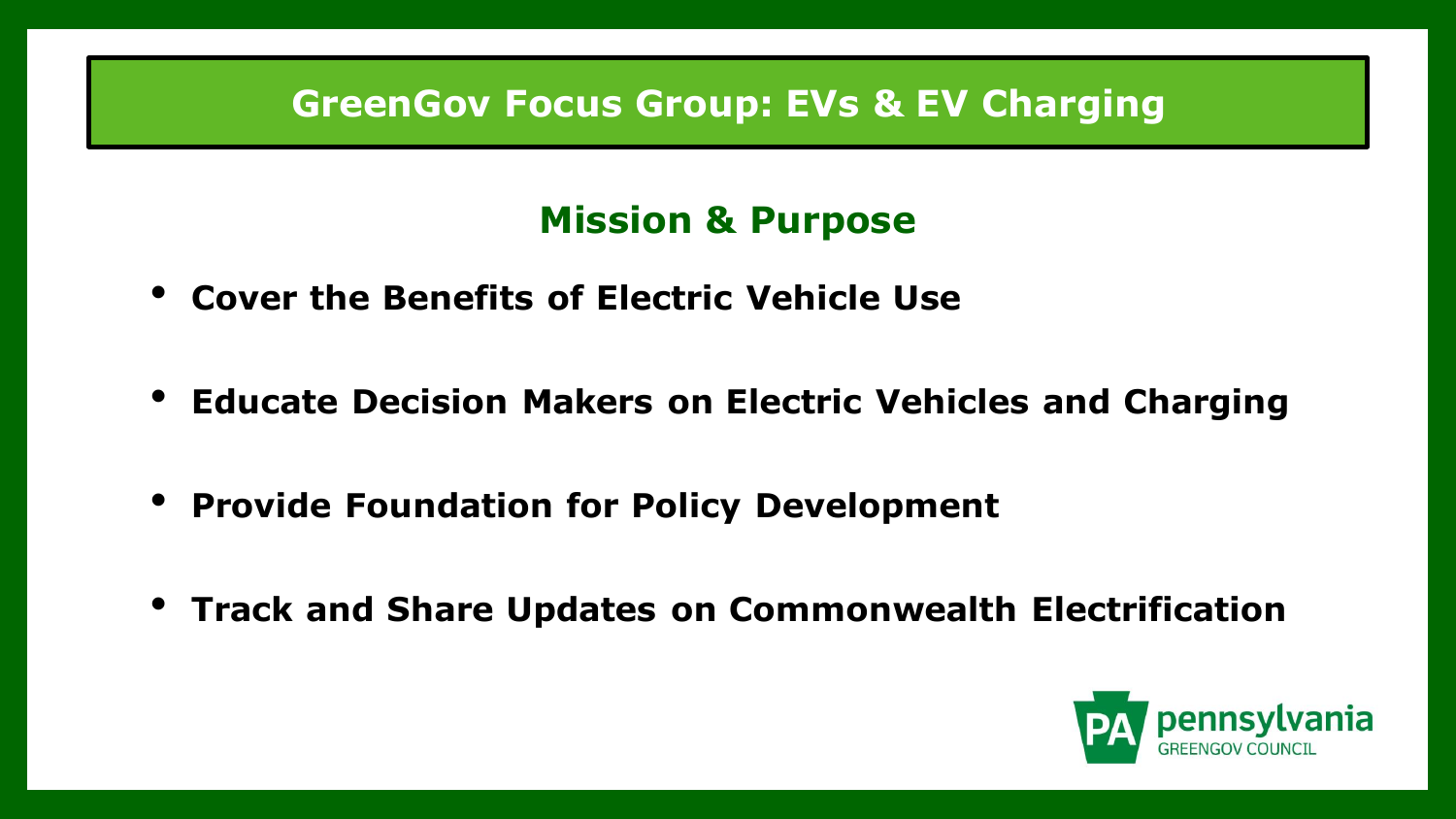#### **GreenGov Focus Group: EVs & EV Charging**

# **Mission & Purpose**

- **Cover the Benefits of Electric Vehicle Use**
- **Educate Decision Makers on Electric Vehicles and Charging**
- **Provide Foundation for Policy Development**
- **Track and Share Updates on Commonwealth Electrification**

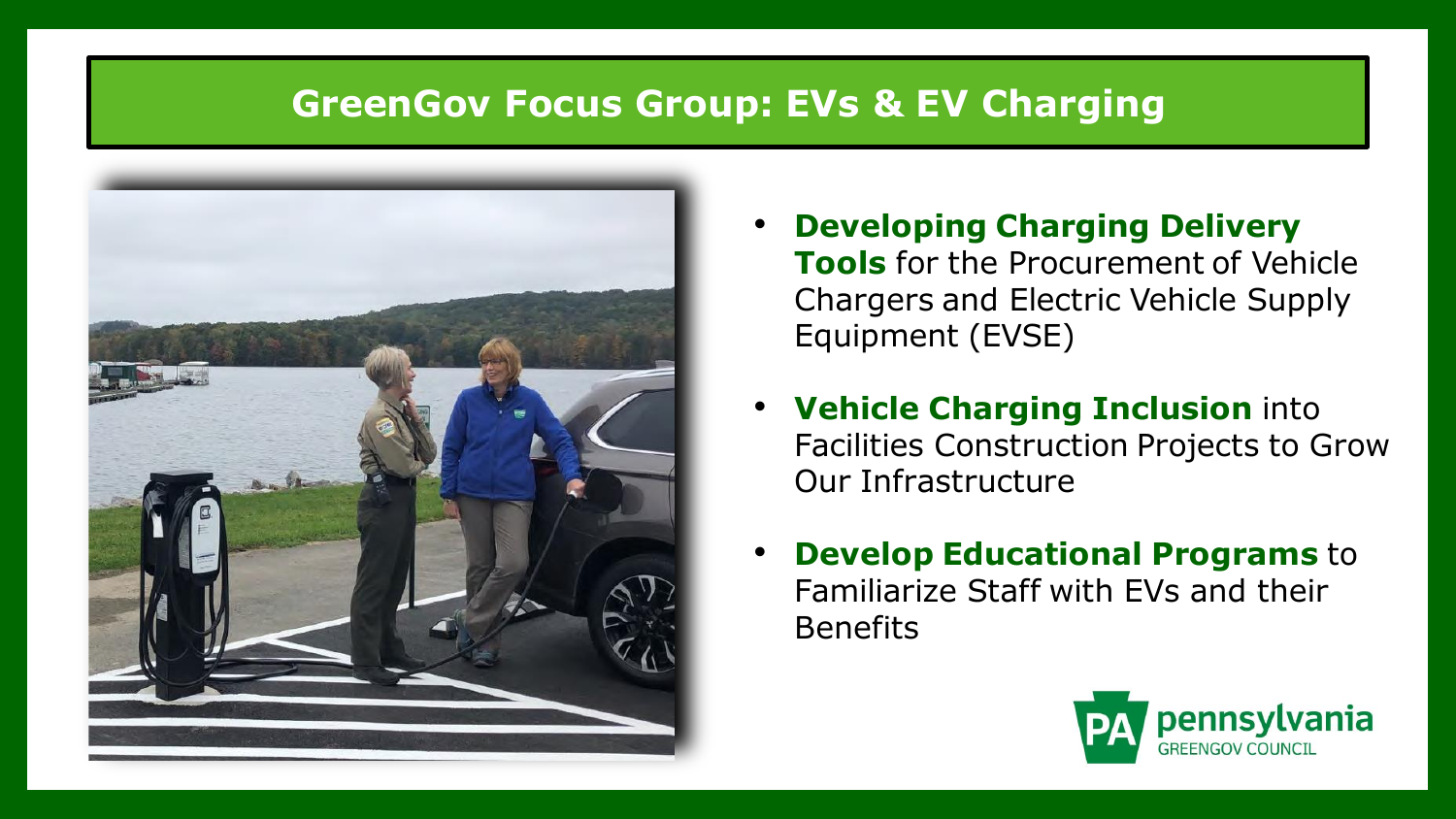#### **GreenGov Focus Group: EVs & EV Charging**



- **Developing Charging Delivery Tools** for the Procurement of Vehicle Chargers and Electric Vehicle Supply Equipment (EVSE)
- **Vehicle Charging Inclusion** into Facilities Construction Projects to Grow Our Infrastructure
- **Develop Educational Programs** to Familiarize Staff with EVs and their Benefits

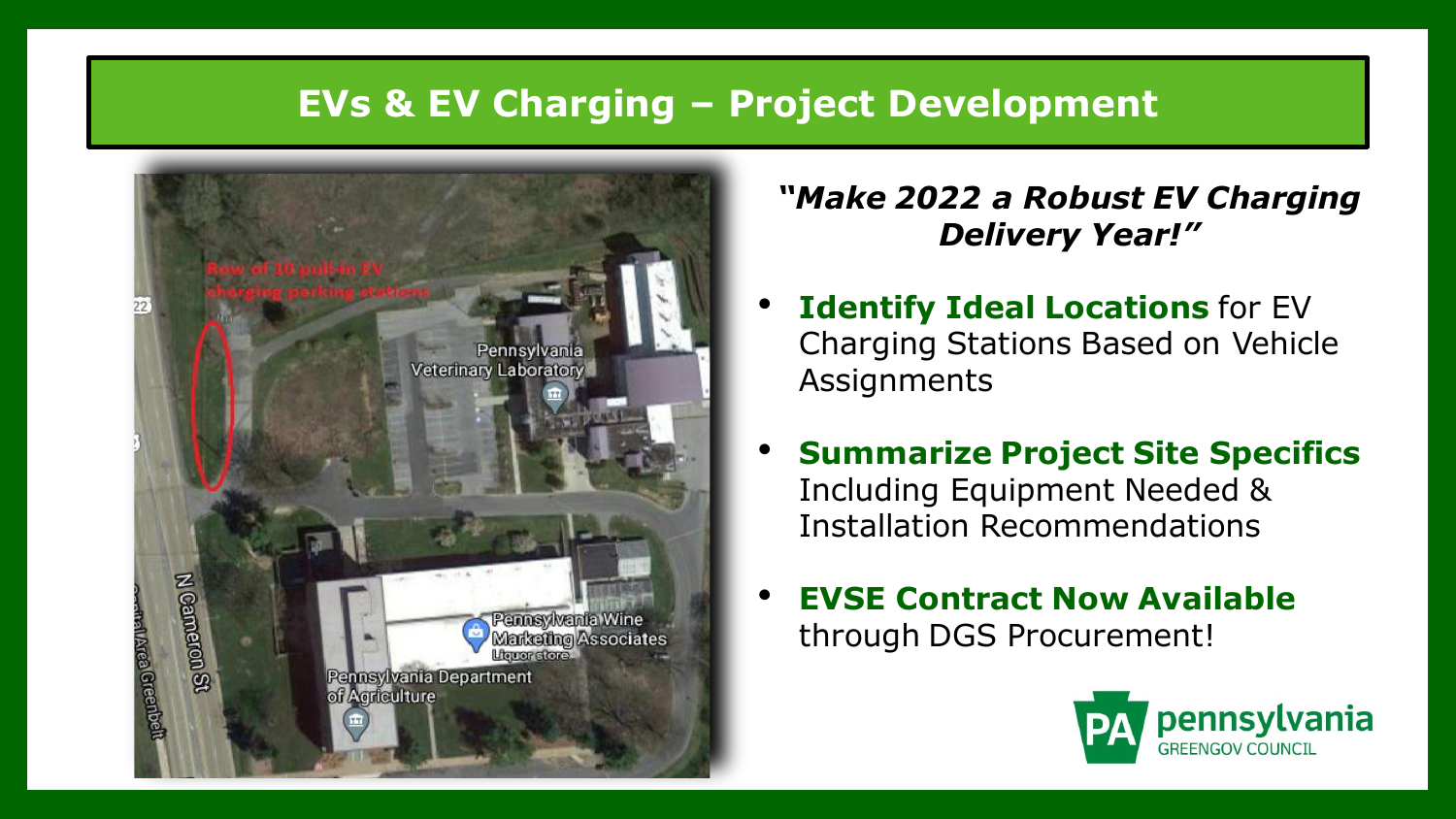# **EVs & EV Charging – Project Development**



#### *"Make 2022 a Robust EV Charging Delivery Year!"*

- **Identify Ideal Locations** for EV Charging Stations Based on Vehicle Assignments
- **Summarize Project Site Specifics** Including Equipment Needed & Installation Recommendations
- **EVSE Contract Now Available**  through DGS Procurement!

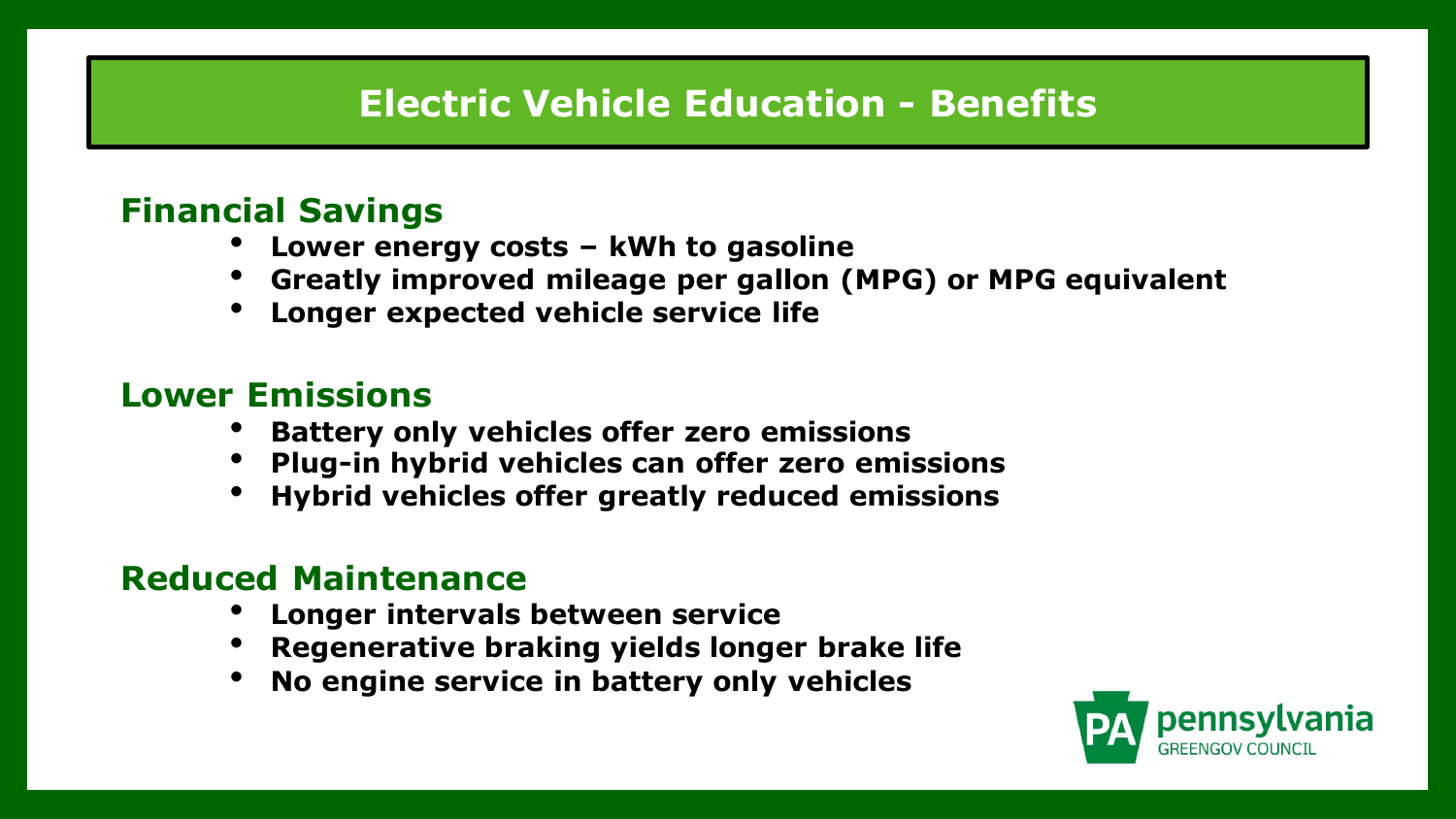# **Electric Vehicle Education - Benefits**

#### **Financial Savings**

- **Lower energy costs – kWh to gasoline**
- **Greatly improved mileage per gallon (MPG) or MPG equivalent**
- **Longer expected vehicle service life**

#### **Lower Emissions**

- **Battery only vehicles offer zero emissions**
- **Plug-in hybrid vehicles can offer zero emissions**
- **Hybrid vehicles offer greatly reduced emissions**

#### **Reduced Maintenance**

- **Longer intervals between service**
- **Regenerative braking yields longer brake life**
- **No engine service in battery only vehicles**

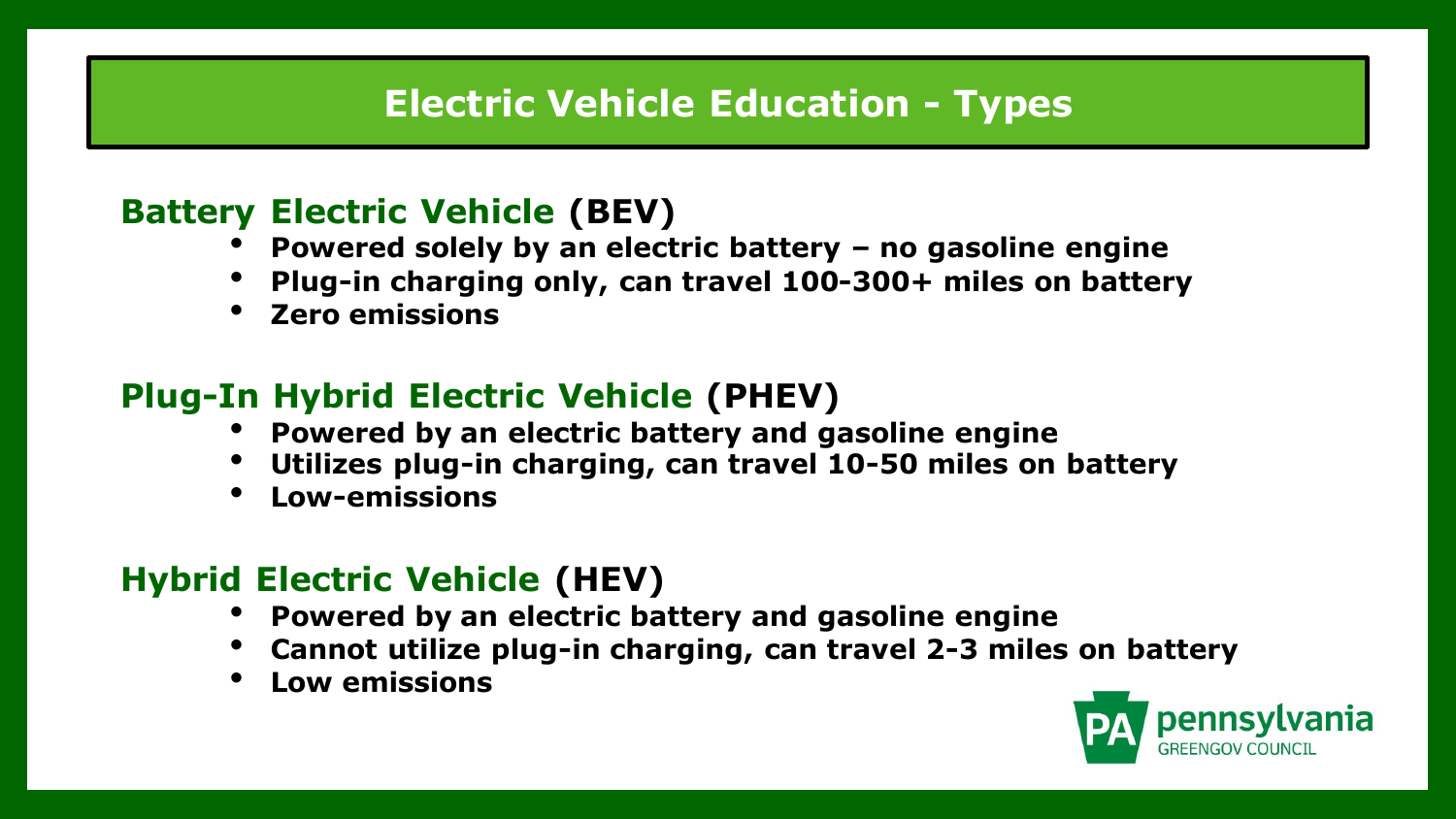# **Electric Vehicle Education - Types**

#### **Battery Electric Vehicle (BEV)**

- **Powered solely by an electric battery – no gasoline engine**
- **Plug-in charging only, can travel 100-300+ miles on battery**
- **Zero emissions**

# **Plug-In Hybrid Electric Vehicle (PHEV)**

- **Powered by an electric battery and gasoline engine**
- **Utilizes plug-in charging, can travel 10-50 miles on battery**
- **Low-emissions**

# **Hybrid Electric Vehicle (HEV)**

- **Powered by an electric battery and gasoline engine**
- **Cannot utilize plug-in charging, can travel 2-3 miles on battery**
- **Low emissions**

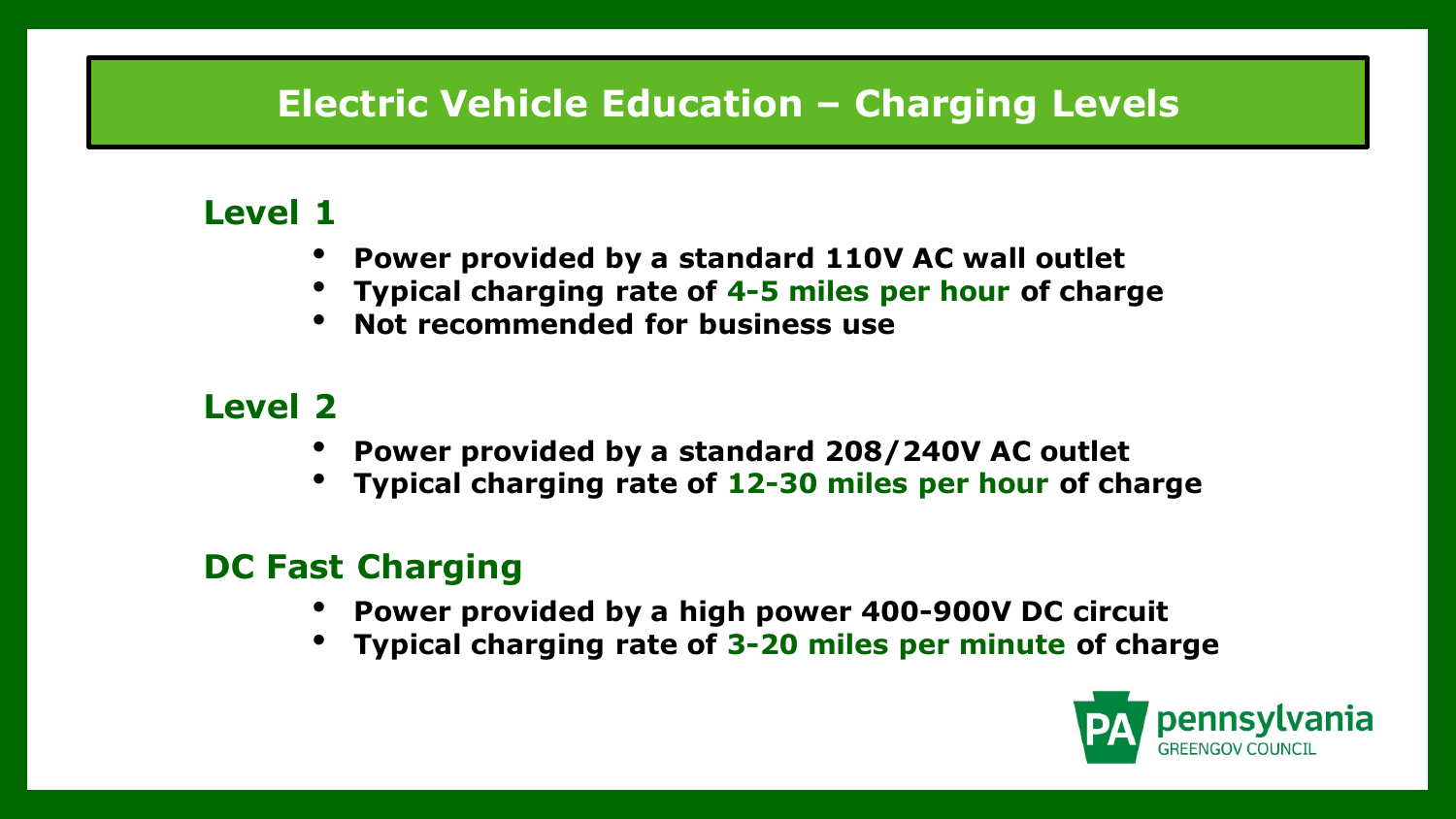# **Electric Vehicle Education – Charging Levels**

#### **Level 1**

- **Power provided by a standard 110V AC wall outlet**
- **Typical charging rate of 4-5 miles per hour of charge**
- **Not recommended for business use**

# **Level 2**

- **Power provided by a standard 208/240V AC outlet**
- **Typical charging rate of 12-30 miles per hour of charge**

# **DC Fast Charging**

- **Power provided by a high power 400-900V DC circuit**
- **Typical charging rate of 3-20 miles per minute of charge**

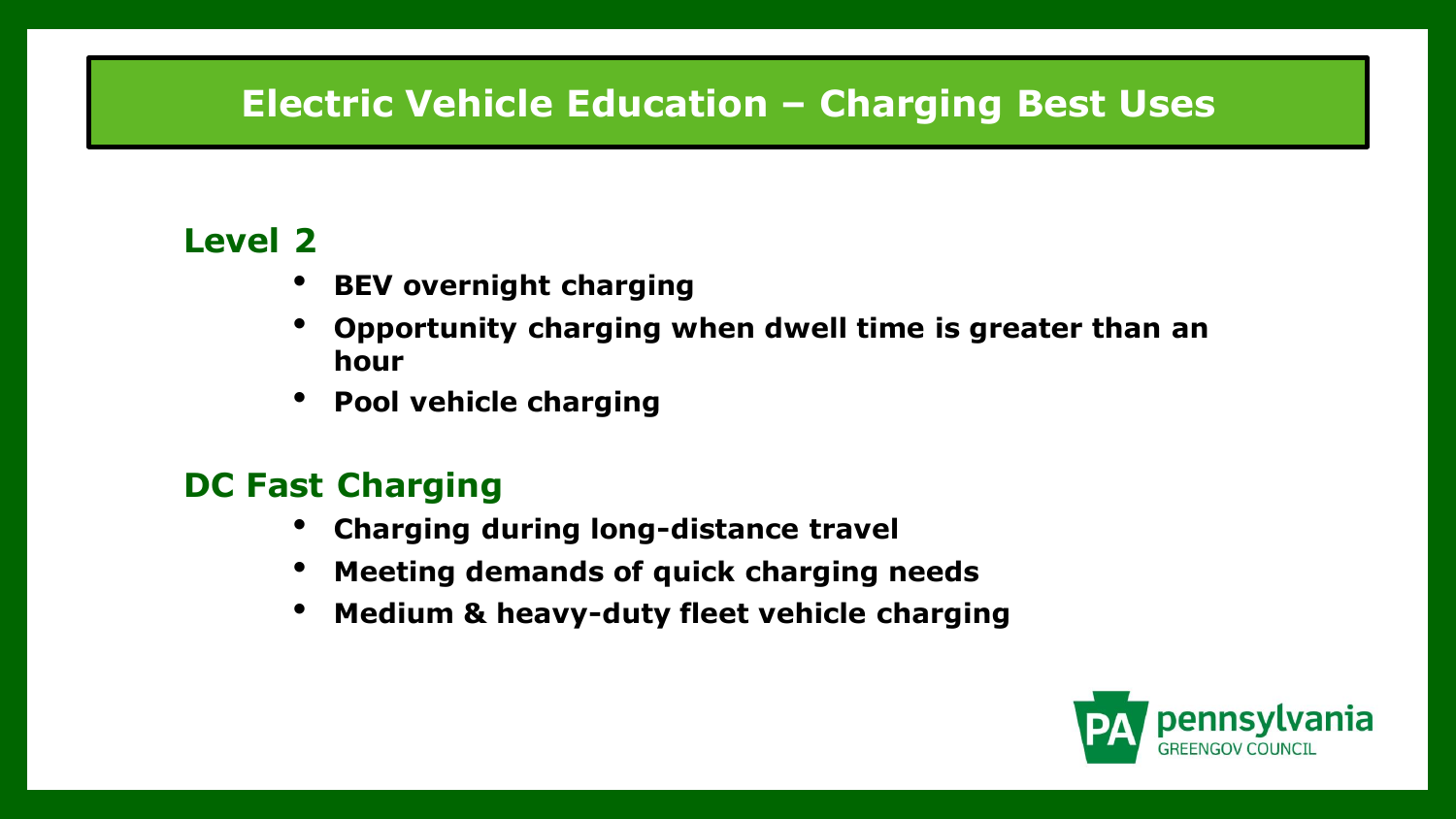# **Electric Vehicle Education – Charging Best Uses**

#### **Level 2**

- **BEV overnight charging**
- **Opportunity charging when dwell time is greater than an hour**
- **Pool vehicle charging**

#### **DC Fast Charging**

- **Charging during long-distance travel**
- **Meeting demands of quick charging needs**
- **Medium & heavy-duty fleet vehicle charging**

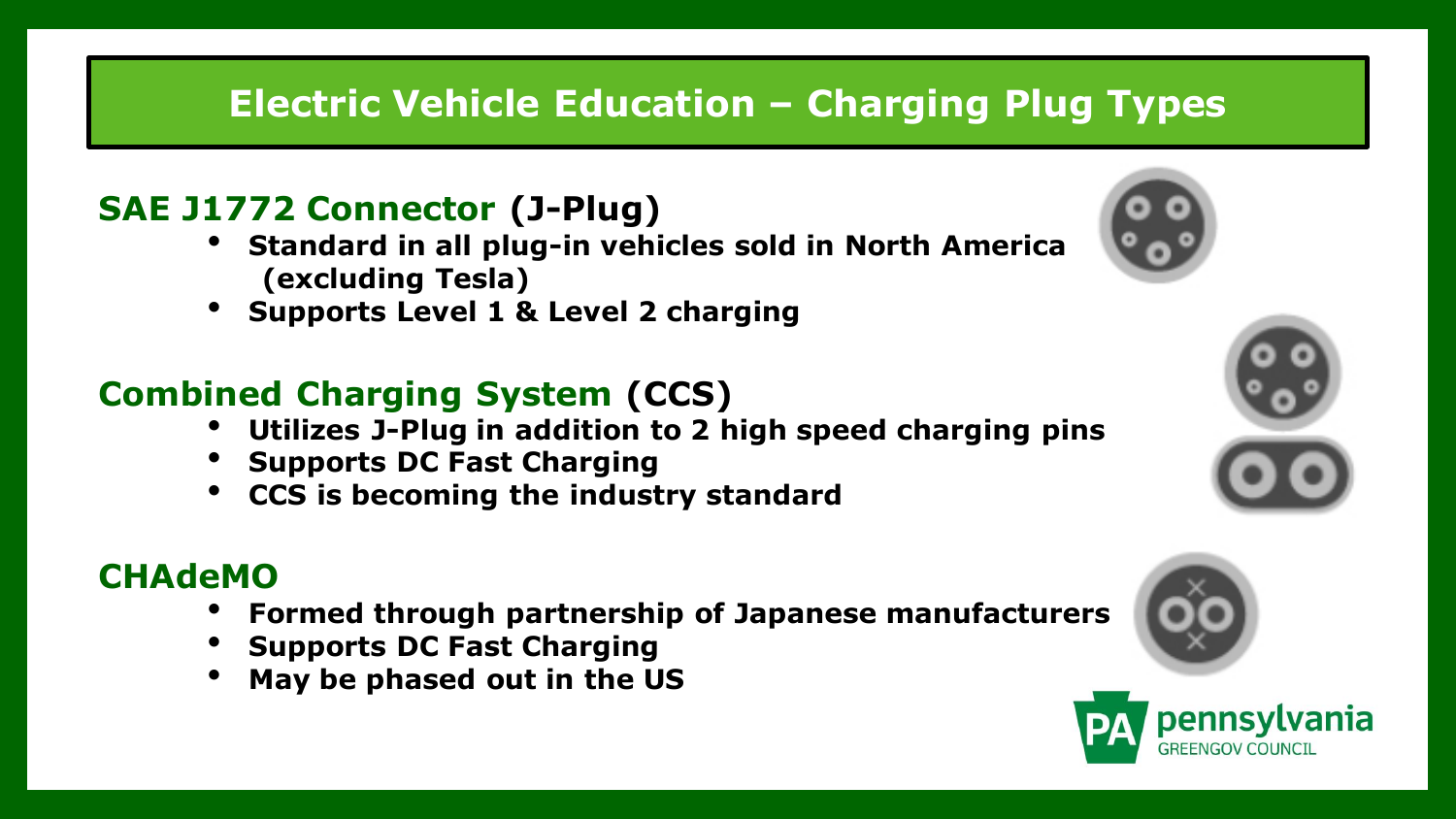# **Electric Vehicle Education – Charging Plug Types**

#### **SAE J1772 Connector (J-Plug)**

- **Standard in all plug-in vehicles sold in North America (excluding Tesla)**
- **Supports Level 1 & Level 2 charging**

# **Combined Charging System (CCS)**

- **Utilizes J-Plug in addition to 2 high speed charging pins**
- **Supports DC Fast Charging**
- **CCS is becoming the industry standard**

#### **CHAdeMO**

- **Formed through partnership of Japanese manufacturers**
- **Supports DC Fast Charging**
- **May be phased out in the US**









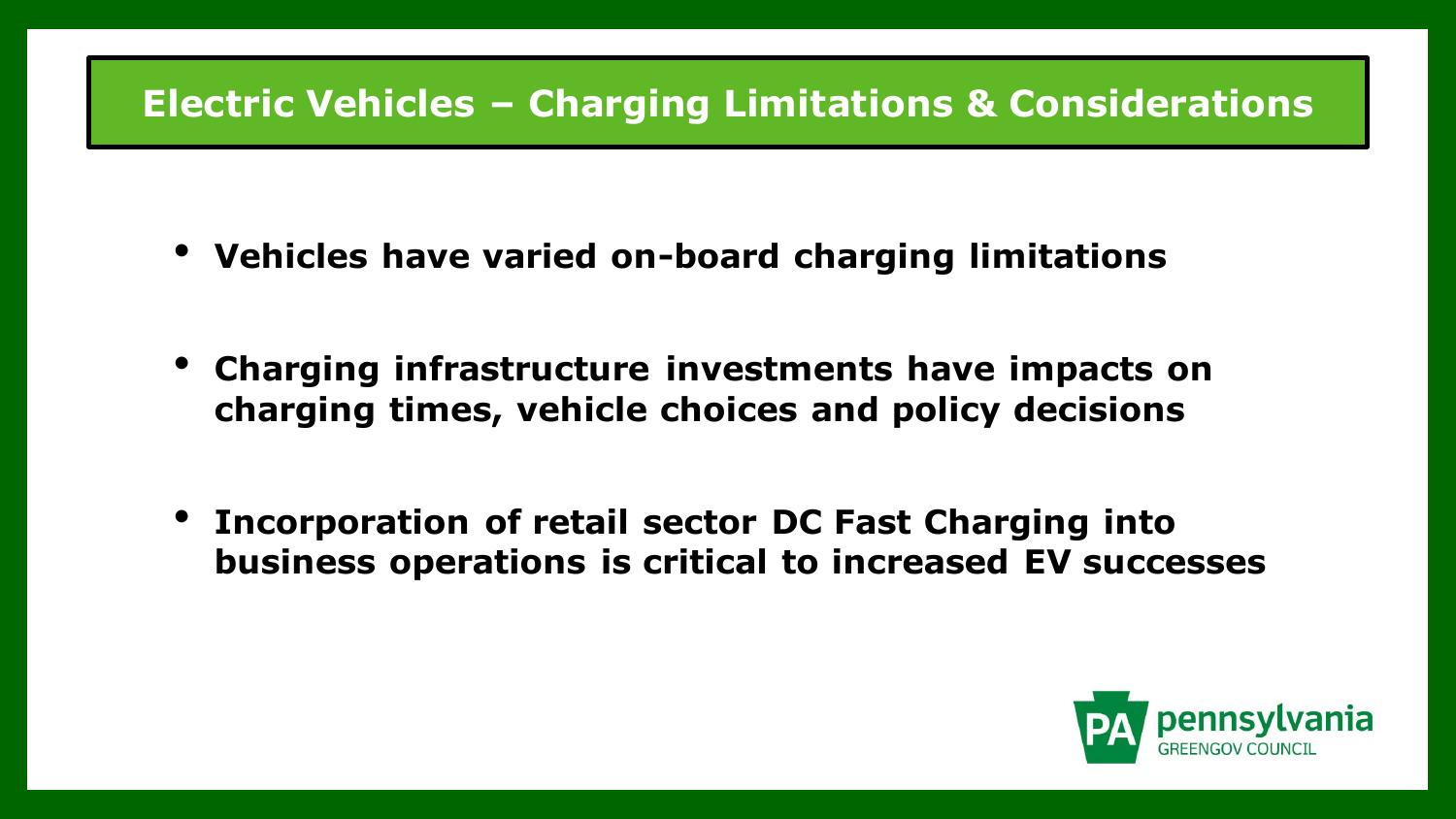# **Electric Vehicles – Charging Limitations & Considerations**

- **Vehicles have varied on-board charging limitations**
- **Charging infrastructure investments have impacts on charging times, vehicle choices and policy decisions**
- **Incorporation of retail sector DC Fast Charging into business operations is critical to increased EV successes**

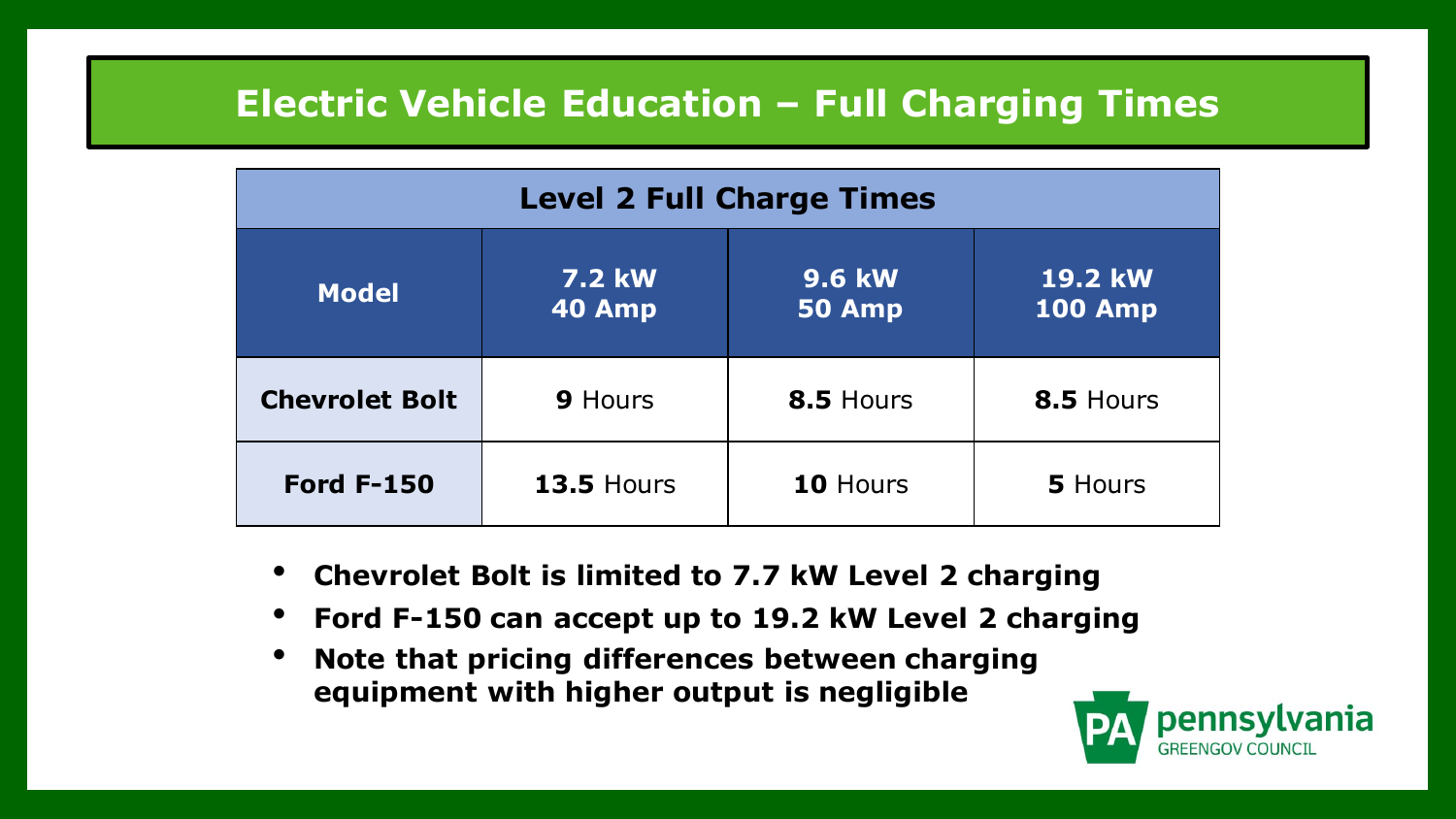# **Electric Vehicle Education – Full Charging Times**

| <b>Level 2 Full Charge Times</b>                                                                                     |                   |           |           |  |  |  |  |
|----------------------------------------------------------------------------------------------------------------------|-------------------|-----------|-----------|--|--|--|--|
| <b>19.2 kW</b><br><b>9.6 kW</b><br><b>7.2 kW</b><br><b>Model</b><br><b>100 Amp</b><br><b>40 Amp</b><br><b>50 Amp</b> |                   |           |           |  |  |  |  |
| <b>Chevrolet Bolt</b><br><b>9 Hours</b>                                                                              |                   | 8.5 Hours | 8.5 Hours |  |  |  |  |
| <b>Ford F-150</b>                                                                                                    | <b>13.5 Hours</b> | 10 Hours  | 5 Hours   |  |  |  |  |

- **Chevrolet Bolt is limited to 7.7 kW Level 2 charging**
- **Ford F-150 can accept up to 19.2 kW Level 2 charging**
- **Note that pricing differences between charging equipment with higher output is negligible**

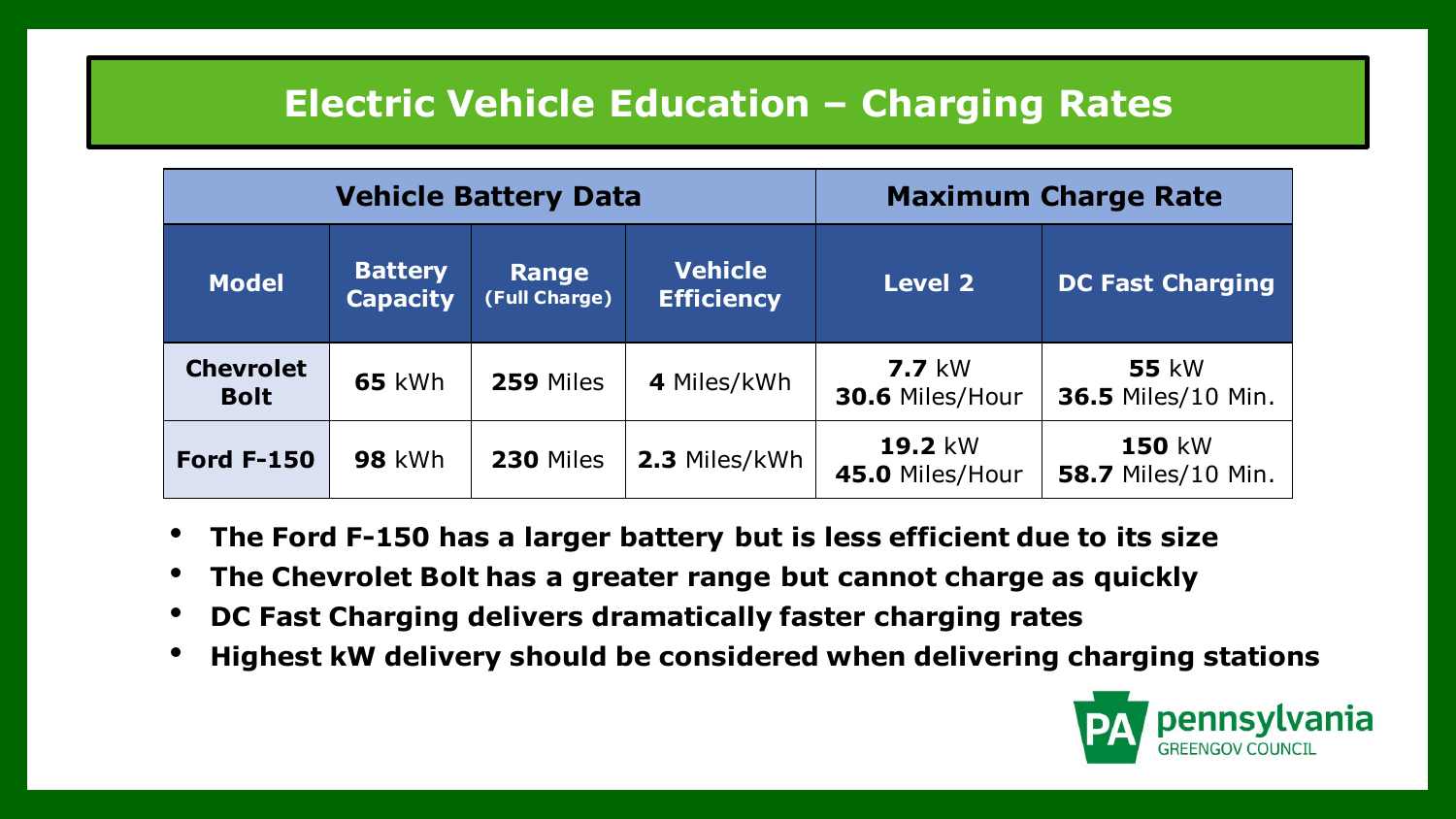# **Electric Vehicle Education – Charging Rates**

|                                 |                                                                                                           | <b>Vehicle Battery Data</b> | <b>Maximum Charge Rate</b> |                                     |                                            |  |
|---------------------------------|-----------------------------------------------------------------------------------------------------------|-----------------------------|----------------------------|-------------------------------------|--------------------------------------------|--|
| <b>Model</b>                    | <b>Vehicle</b><br><b>Battery</b><br><b>Range</b><br><b>Capacity</b><br><b>Efficiency</b><br>(Full Charge) |                             |                            | <b>Level 2</b>                      | <b>DC Fast Charging</b>                    |  |
| <b>Chevrolet</b><br><b>Bolt</b> | <b>65 kWh</b>                                                                                             | 259 Miles                   | 4 Miles/kWh                | $7.7 \text{ kW}$<br>30.6 Miles/Hour | <b>55 kW</b><br>36.5 Miles/10 Min.         |  |
| <b>Ford F-150</b>               | <b>98 kWh</b>                                                                                             | <b>230 Miles</b>            | 2.3 Miles/kWh              | <b>19.2 kW</b><br>45.0 Miles/Hour   | <b>150 kW</b><br><b>58.7 Miles/10 Min.</b> |  |

- **The Ford F-150 has a larger battery but is less efficient due to its size**
- **The Chevrolet Bolt has a greater range but cannot charge as quickly**
- **DC Fast Charging delivers dramatically faster charging rates**
- **Highest kW delivery should be considered when delivering charging stations**

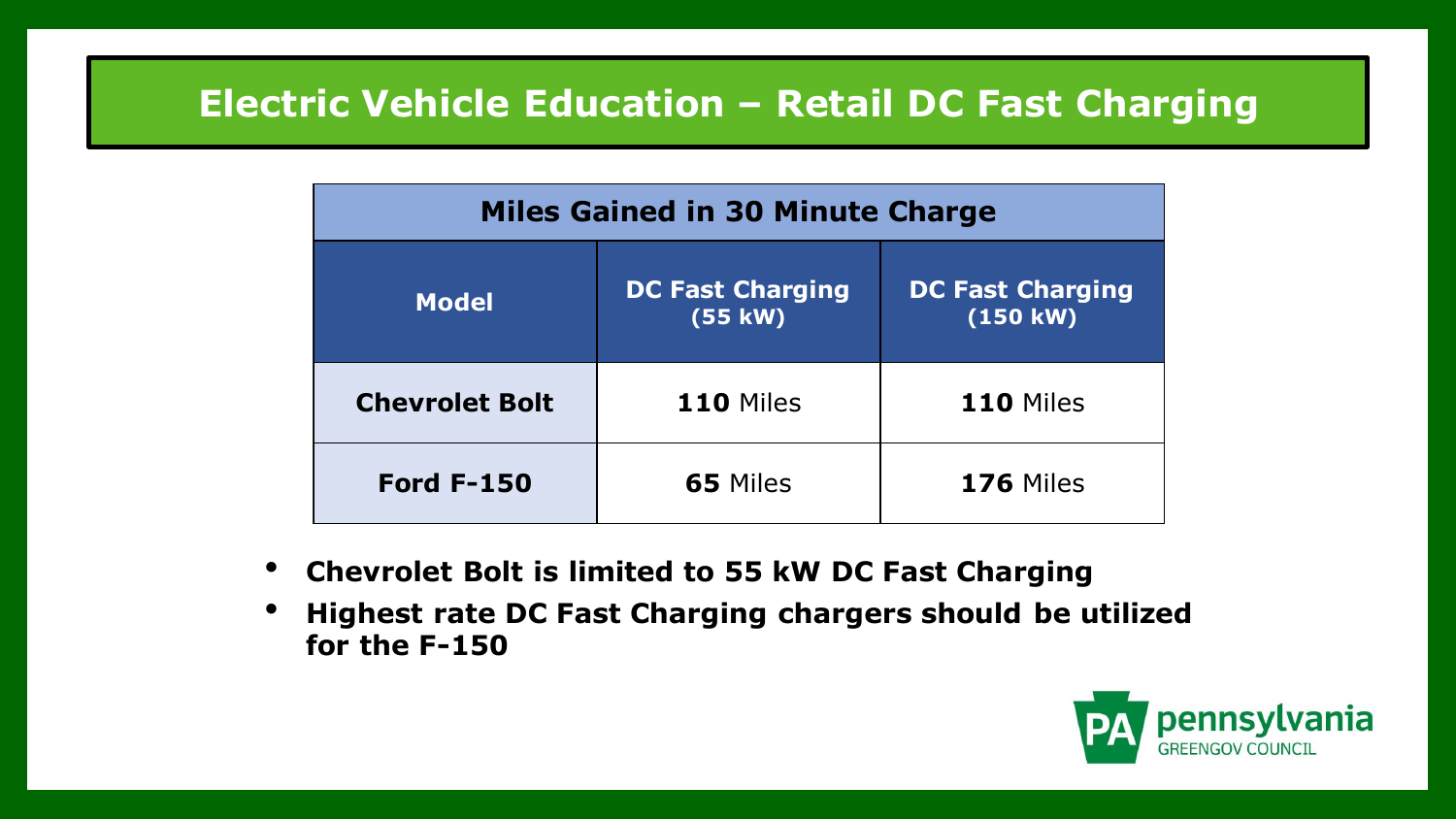# **Electric Vehicle Education – Retail DC Fast Charging**

| <b>Miles Gained in 30 Minute Charge</b> |                                    |                                          |  |  |  |  |
|-----------------------------------------|------------------------------------|------------------------------------------|--|--|--|--|
| <b>Model</b>                            | <b>DC Fast Charging</b><br>(55 kW) | <b>DC Fast Charging</b><br>$(150$ kW $)$ |  |  |  |  |
| <b>Chevrolet Bolt</b>                   | <b>110 Miles</b>                   | <b>110 Miles</b>                         |  |  |  |  |
| <b>Ford F-150</b>                       | <b>65 Miles</b>                    | <b>176 Miles</b>                         |  |  |  |  |

- **Chevrolet Bolt is limited to 55 kW DC Fast Charging**
- **Highest rate DC Fast Charging chargers should be utilized for the F-150**

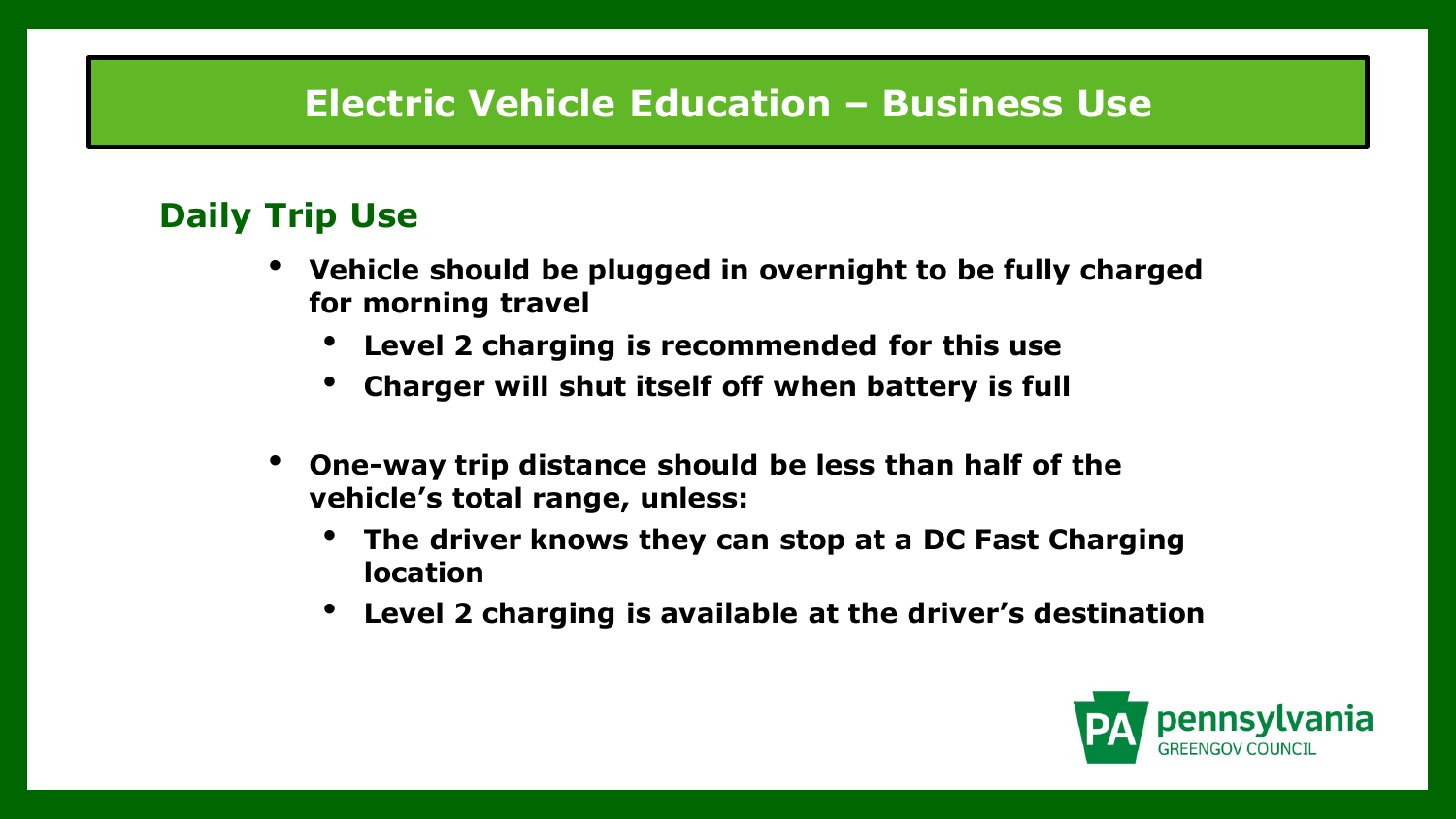# **Electric Vehicle Education – Business Use**

#### **Daily Trip Use**

- **Vehicle should be plugged in overnight to be fully charged for morning travel** 
	- **Level 2 charging is recommended for this use**
	- **Charger will shut itself off when battery is full**
- **One-way trip distance should be less than half of the vehicle's total range, unless:**
	- **The driver knows they can stop at a DC Fast Charging location**
	- **Level 2 charging is available at the driver's destination**

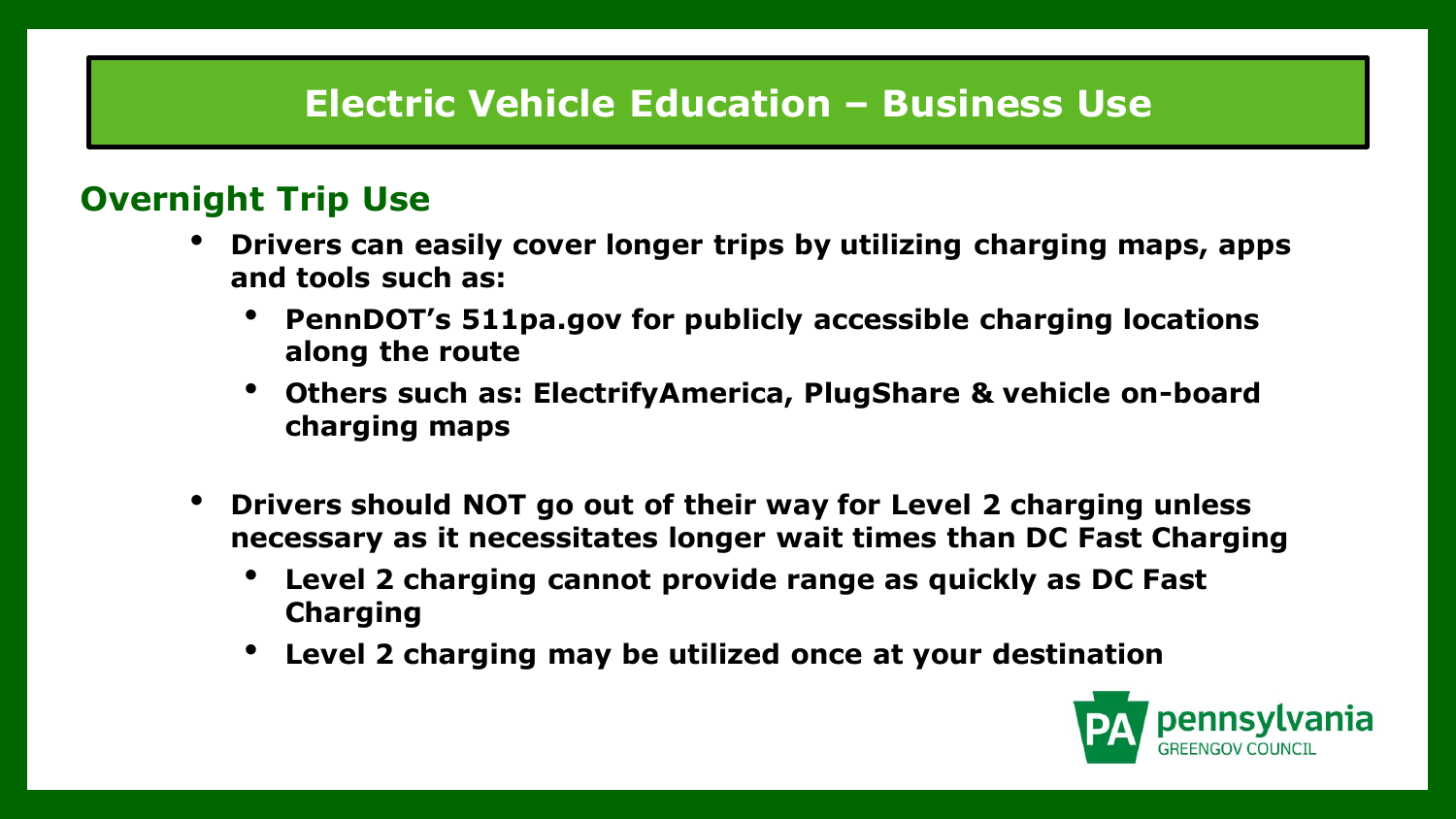# **Electric Vehicle Education – Business Use**

#### **Overnight Trip Use**

- **Drivers can easily cover longer trips by utilizing charging maps, apps and tools such as:**
	- **PennDOT's 511pa.gov for publicly accessible charging locations along the route**
	- **Others such as: ElectrifyAmerica, PlugShare & vehicle on-board charging maps**
- **Drivers should NOT go out of their way for Level 2 charging unless necessary as it necessitates longer wait times than DC Fast Charging**
	- **Level 2 charging cannot provide range as quickly as DC Fast Charging**
	- **Level 2 charging may be utilized once at your destination**

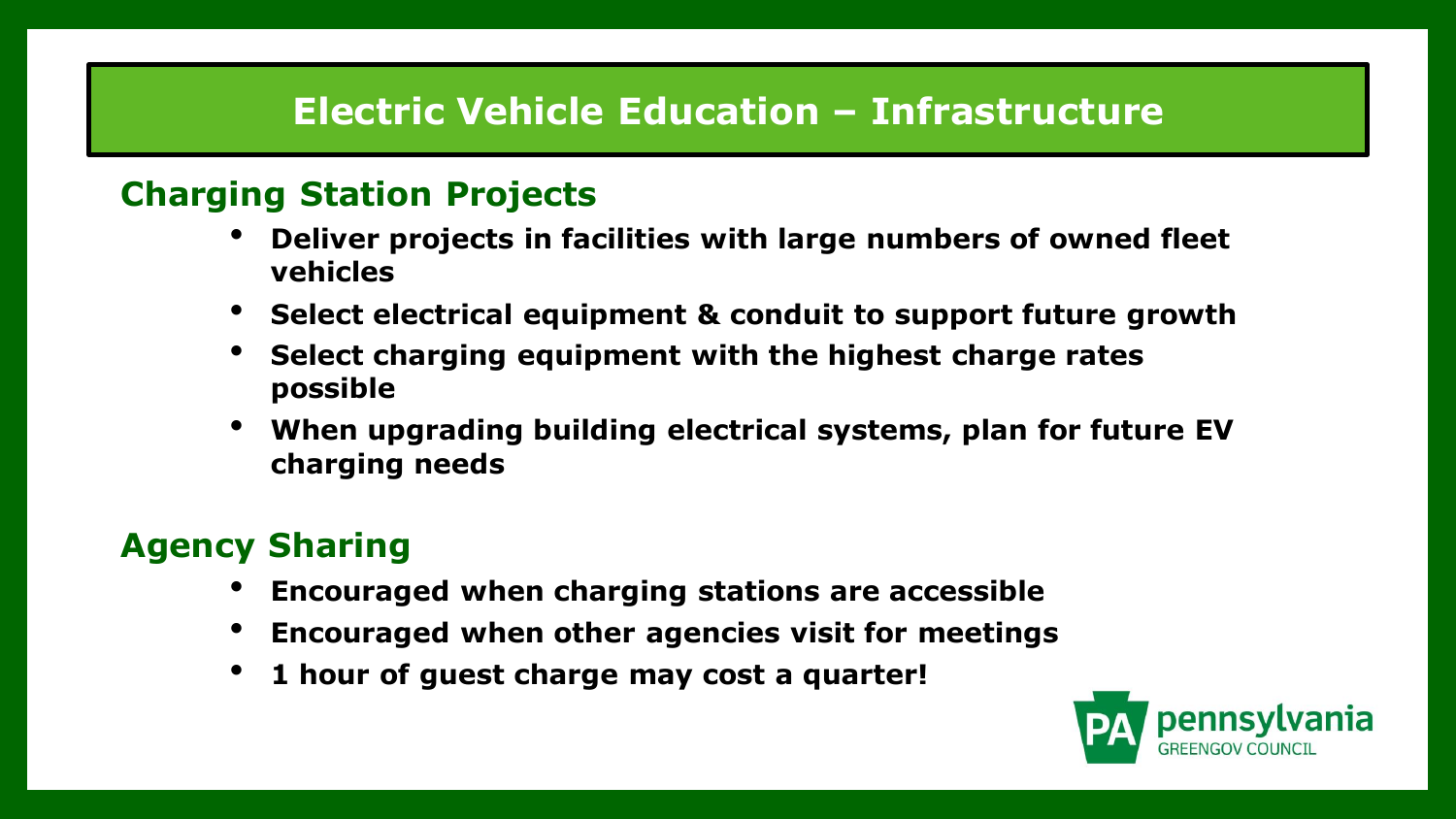# **Electric Vehicle Education – Infrastructure**

#### **Charging Station Projects**

- **Deliver projects in facilities with large numbers of owned fleet vehicles**
- **Select electrical equipment & conduit to support future growth**
- **Select charging equipment with the highest charge rates possible**
- **When upgrading building electrical systems, plan for future EV charging needs**

# **Agency Sharing**

- **Encouraged when charging stations are accessible**
- **Encouraged when other agencies visit for meetings**
- **1 hour of guest charge may cost a quarter!**

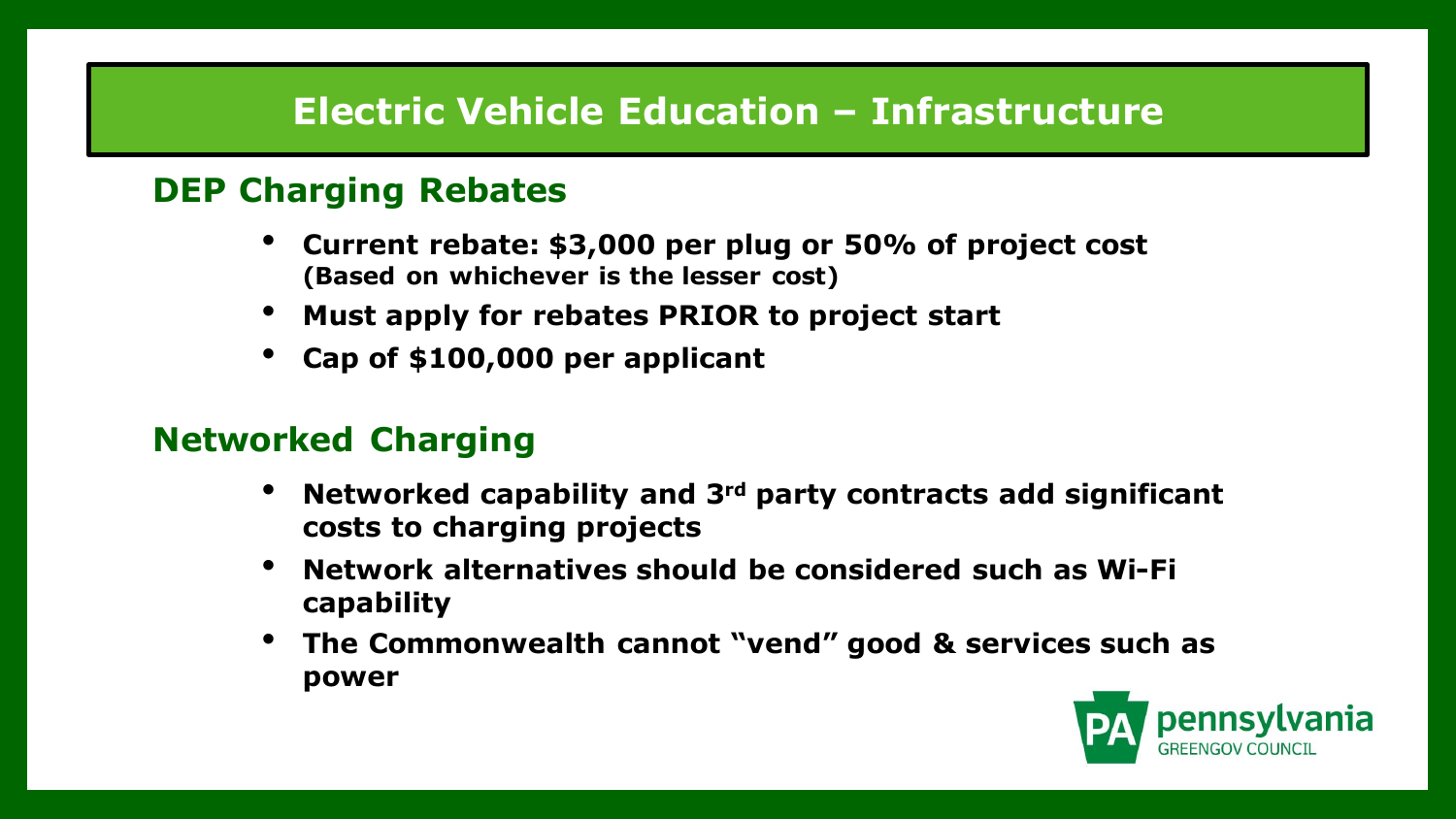# **Electric Vehicle Education – Infrastructure**

#### **DEP Charging Rebates**

- **Current rebate: \$3,000 per plug or 50% of project cost (Based on whichever is the lesser cost)**
- **Must apply for rebates PRIOR to project start**
- **Cap of \$100,000 per applicant**

#### **Networked Charging**

- **Networked capability and 3rd party contracts add significant costs to charging projects**
- **Network alternatives should be considered such as Wi-Fi capability**
- **The Commonwealth cannot "vend" good & services such as power**

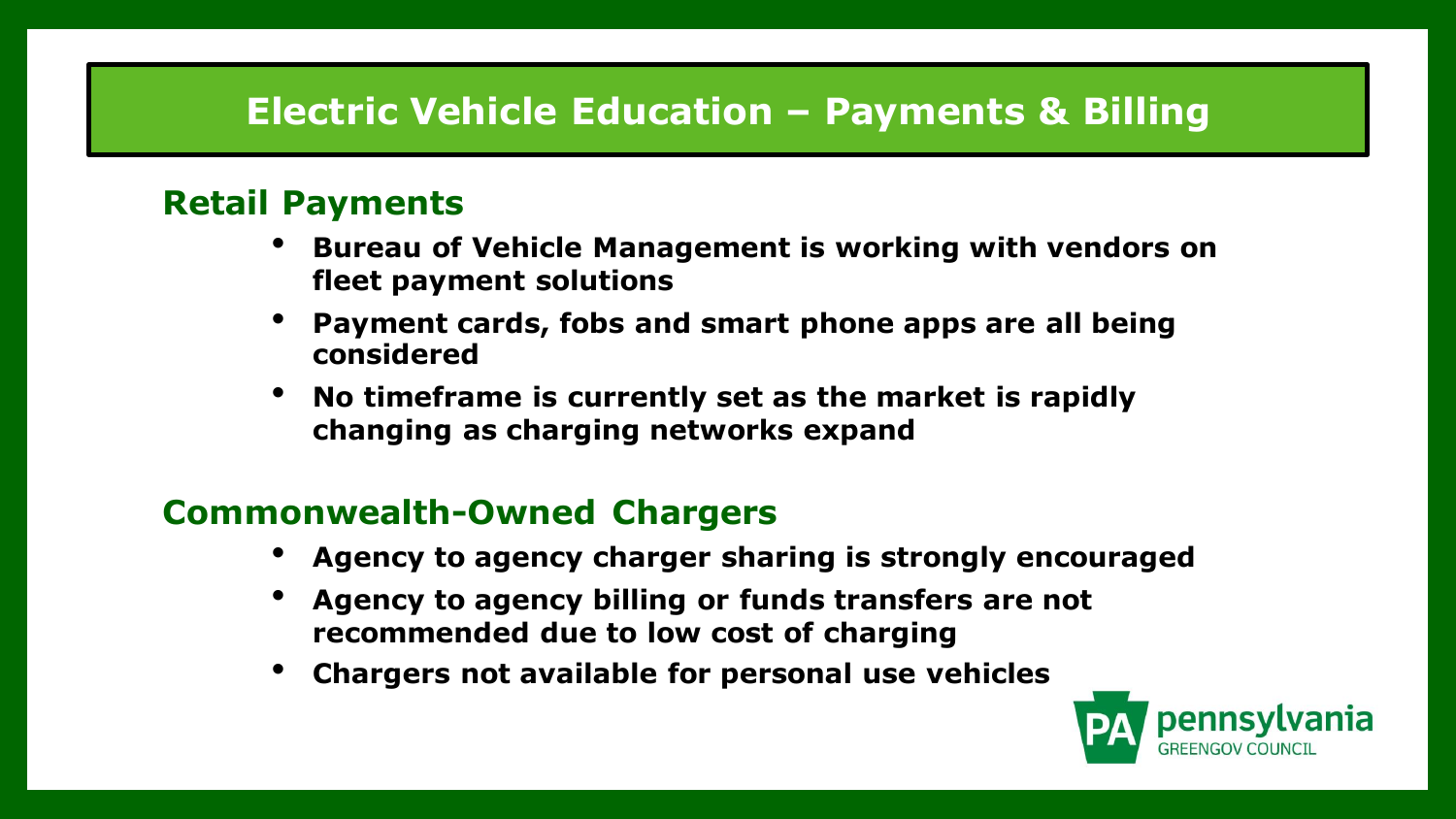# **Electric Vehicle Education – Payments & Billing**

#### **Retail Payments**

- **Bureau of Vehicle Management is working with vendors on fleet payment solutions**
- **Payment cards, fobs and smart phone apps are all being considered**
- **No timeframe is currently set as the market is rapidly changing as charging networks expand**

#### **Commonwealth-Owned Chargers**

- **Agency to agency charger sharing is strongly encouraged**
- **Agency to agency billing or funds transfers are not recommended due to low cost of charging**
- **Chargers not available for personal use vehicles**

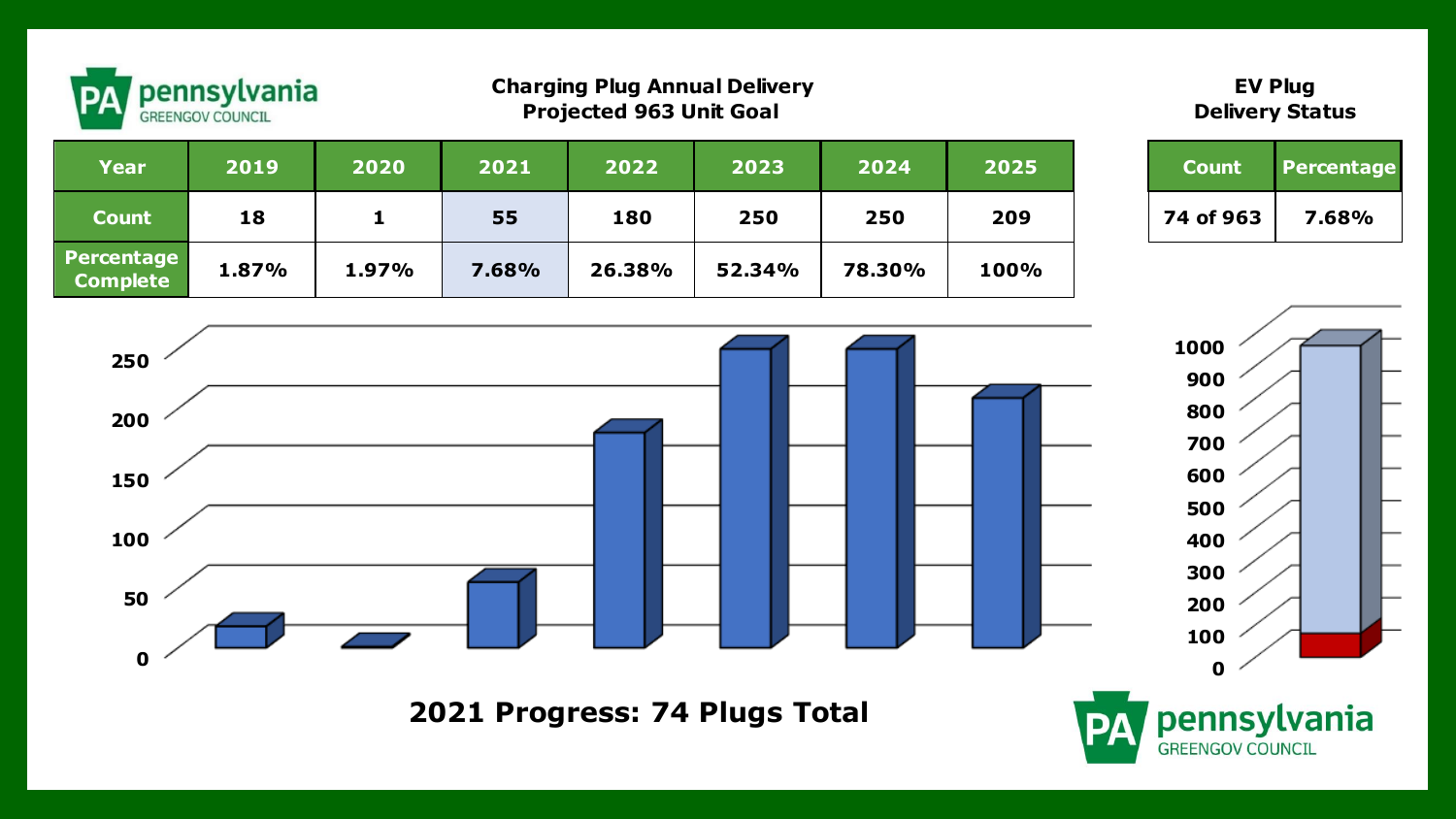

#### **Charging Plug Annual Delivery Projected 963 Unit Goal**

#### **EV Plug Delivery Status**

| <b>Charging Plug Annual Delivery</b><br>' pennsylvania<br><b>PA</b><br><b>Projected 963 Unit Goal</b><br><b>GREENGOV COUNCIL</b> |       |       |       |        |        | <b>EV Plug</b><br><b>Delivery Status</b> |      |           |            |
|----------------------------------------------------------------------------------------------------------------------------------|-------|-------|-------|--------|--------|------------------------------------------|------|-----------|------------|
| <b>Year</b>                                                                                                                      | 2019  | 2020  | 2021  | 2022   | 2023   | 2024                                     | 2025 | Count/    | Percentage |
| <b>Count</b>                                                                                                                     | 18    | 1     | 55    | 180    | 250    | 250                                      | 209  | 74 of 963 | 7.68%      |
| Percentage<br><b>Complete</b>                                                                                                    | 1.87% | 1.97% | 7.68% | 26.38% | 52.34% | 78.30%                                   | 100% |           |            |





**2021 Progress: 74 Plugs Total**

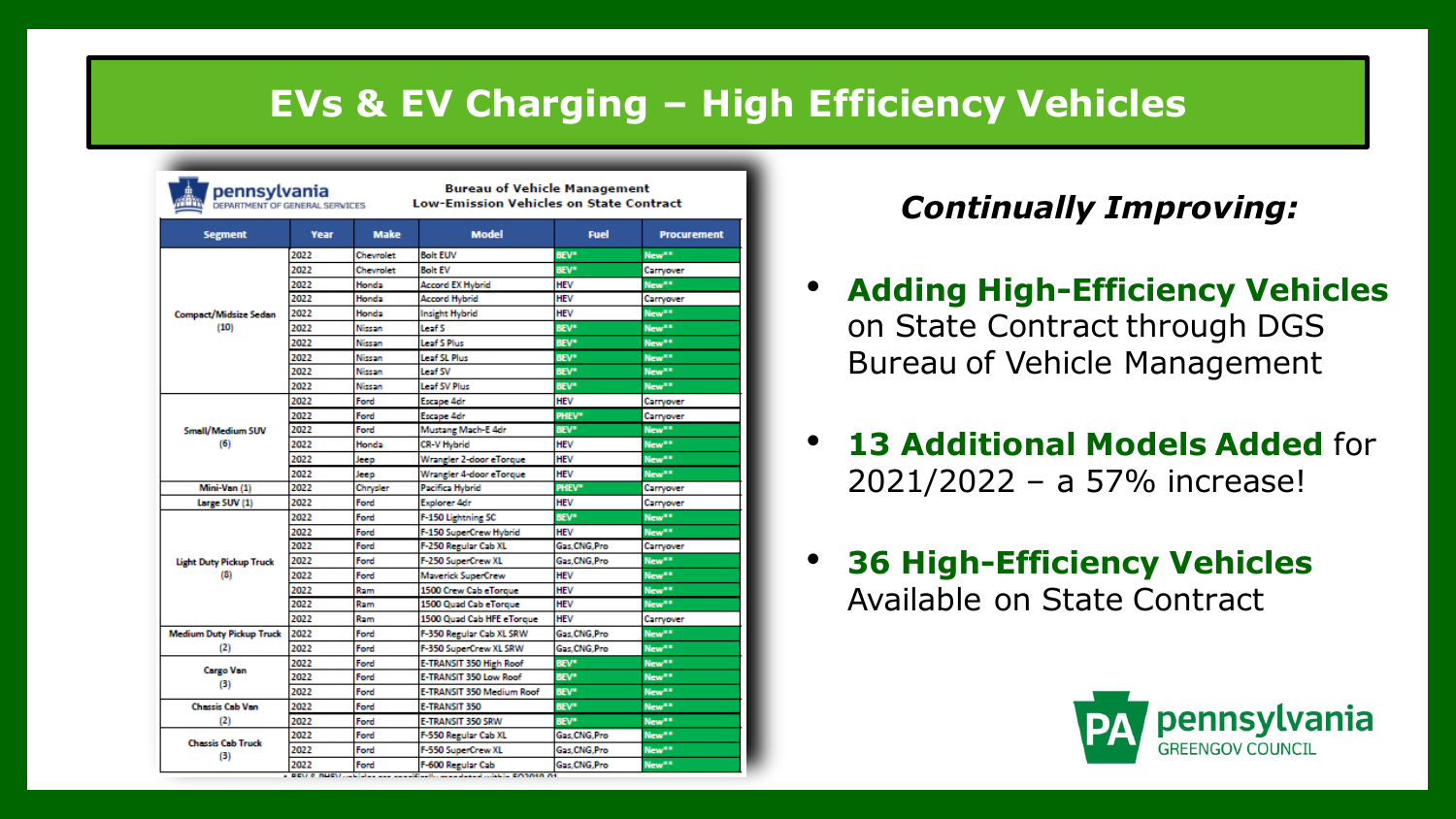# **EVs & EV Charging – High Efficiency Vehicles**

| pennsylvania<br>DEPARTMENT OF GENERAL SERVICES |      |             | <b>Bureau of Vehicle Management</b><br><b>Low-Emission Vehicles on State Contract</b> |               |                    |  |
|------------------------------------------------|------|-------------|---------------------------------------------------------------------------------------|---------------|--------------------|--|
| <b>Segment</b>                                 | Year | <b>Make</b> | <b>Model</b>                                                                          | <b>Fuel</b>   | <b>Procurement</b> |  |
|                                                | 2022 | Chevrolet   | <b>Bolt EUV</b>                                                                       | <b>BEV*</b>   | New <sup>##</sup>  |  |
|                                                | 2022 | Chevrolet   | <b>Bolt EV</b>                                                                        | <b>BEV*</b>   | Carryover          |  |
|                                                | 2022 | Honda       | <b>Accord EX Hybrid</b>                                                               | HEV           | New <sup>##</sup>  |  |
|                                                | 2022 | Honda       | Accord Hybrid                                                                         | HEV           | Carryover          |  |
| <b>Compact/Midsize Sedan</b>                   | 2022 | Honda       | Insight Hybrid                                                                        | HEV           | New <sup>xx</sup>  |  |
| (10)                                           | 2022 | Nissan      | Leaf S                                                                                | <b>BEV*</b>   | New <sup>##</sup>  |  |
|                                                | 2022 | Nissan      | Leaf S Plus                                                                           | <b>BEV*</b>   | New**              |  |
|                                                | 2022 | Nissan      | Leaf SL Plus                                                                          | <b>BEV*</b>   | New <sup>xx</sup>  |  |
|                                                | 2022 | Nissan      | Leaf SV                                                                               | <b>BEV*</b>   | New <sup>##</sup>  |  |
|                                                | 2022 | Nissan      | Leaf SV Plus                                                                          | <b>BEV*</b>   | New <sup>##</sup>  |  |
|                                                | 2022 | Ford        | <b>Escape 4dr</b>                                                                     | <b>HEV</b>    | Carryover          |  |
|                                                | 2022 | Ford        | <b>Escape 4dr</b>                                                                     | PHEV*         | Carryover          |  |
| Small/Medium SUV                               | 2022 | Ford        | Mustang Mach-E 4dr                                                                    | <b>BEV*</b>   | New <sup>##</sup>  |  |
| (6)                                            | 2022 | Honda       | <b>CR-V Hybrid</b>                                                                    | <b>HEV</b>    | New <sup>##</sup>  |  |
|                                                | 2022 | Jeep        | Wrangler 2-door eTorque                                                               | HEV           | New <sup>er</sup>  |  |
|                                                | 2022 | Jeep        | Wrangler 4-door eTorque                                                               | <b>HEV</b>    | New**              |  |
| Mini-Van (1)                                   | 2022 | Chrysler    | Pacifica Hybrid                                                                       | PHEV*         | Carryover          |  |
| Large SUV (1)                                  | 2022 | Ford        | <b>Explorer 4dr</b>                                                                   | <b>HEV</b>    | Carryover          |  |
|                                                | 2022 | Ford        | F-150 Lightning SC                                                                    | <b>BEV*</b>   | New <sup>**</sup>  |  |
|                                                | 2022 | Ford        | F-150 SuperCrew Hybrid                                                                | <b>HEV</b>    | New <sup>er</sup>  |  |
|                                                | 2022 | Ford        | F-250 Regular Cab XL                                                                  | Gas, CNG, Pro | Carryover          |  |
| <b>Light Duty Pickup Truck</b>                 | 2022 | Ford        | F-250 SuperCrew XL                                                                    | Gas.CNG.Pro   | New <sup>**</sup>  |  |
| (8)                                            | 2022 | Ford        | <b>Maverick SuperCrew</b>                                                             | <b>HEV</b>    | New <sup>##</sup>  |  |
|                                                | 2022 | Ram         | 1500 Crew Cab eTorque                                                                 | <b>HEV</b>    | New**              |  |
|                                                | 2022 | Ram         | 1500 Quad Cab eTorque                                                                 | <b>HEV</b>    | New**              |  |
|                                                | 2022 | Ram         | 1500 Quad Cab HFE eTorque                                                             | <b>HFV</b>    | Carryover          |  |
| <b>Medium Duty Pickup Truck</b>                | 2022 | Ford        | F-350 Regular Cab XL SRW                                                              | Gas.CNG.Pro   | New <sup>xx</sup>  |  |
| (2)                                            | 2022 | Ford        | F-350 SuperCrew XL SRW                                                                | Gas.CNG.Pro   | New <sup>##</sup>  |  |
|                                                | 2022 | Ford        | E-TRANSIT 350 High Roof                                                               | <b>BEV*</b>   | New <sup>**</sup>  |  |
| <b>Cargo Van</b>                               | 2022 | Ford        | E-TRANSIT 350 Low Roof                                                                | <b>BEV*</b>   | New <sup>##</sup>  |  |
| (3)                                            | 2022 | Ford        | E-TRANSIT 350 Medium Roof                                                             | <b>BEV*</b>   | New <sup>##</sup>  |  |
| <b>Chassis Cab Van</b>                         | 2022 | Ford        | E-TRANSIT 350                                                                         | <b>BEV*</b>   | New <sup>xx</sup>  |  |
| (2)                                            | 2022 | Ford        | E-TRANSIT 350 SRW                                                                     | <b>BEV*</b>   | New <sup>**</sup>  |  |
|                                                | 2022 | Ford        | F-550 Regular Cab XL                                                                  | Gas, CNG, Pro | New <sup>xx</sup>  |  |
| <b>Chassis Cab Truck</b><br>(3)                | 2022 | Ford        | F-550 SuperCrew XL                                                                    | Gas.CNG.Pro   | New <sup>**</sup>  |  |
|                                                | 2022 | Ford        | F-600 Regular Cab                                                                     | Gas.CNG.Pro   | New <sup>##</sup>  |  |

#### *Continually Improving:*

- **Adding High-Efficiency Vehicles** on State Contract through DGS Bureau of Vehicle Management
- **13 Additional Models Added** for 2021/2022 – a 57% increase!
- **36 High-Efficiency Vehicles**  Available on State Contract

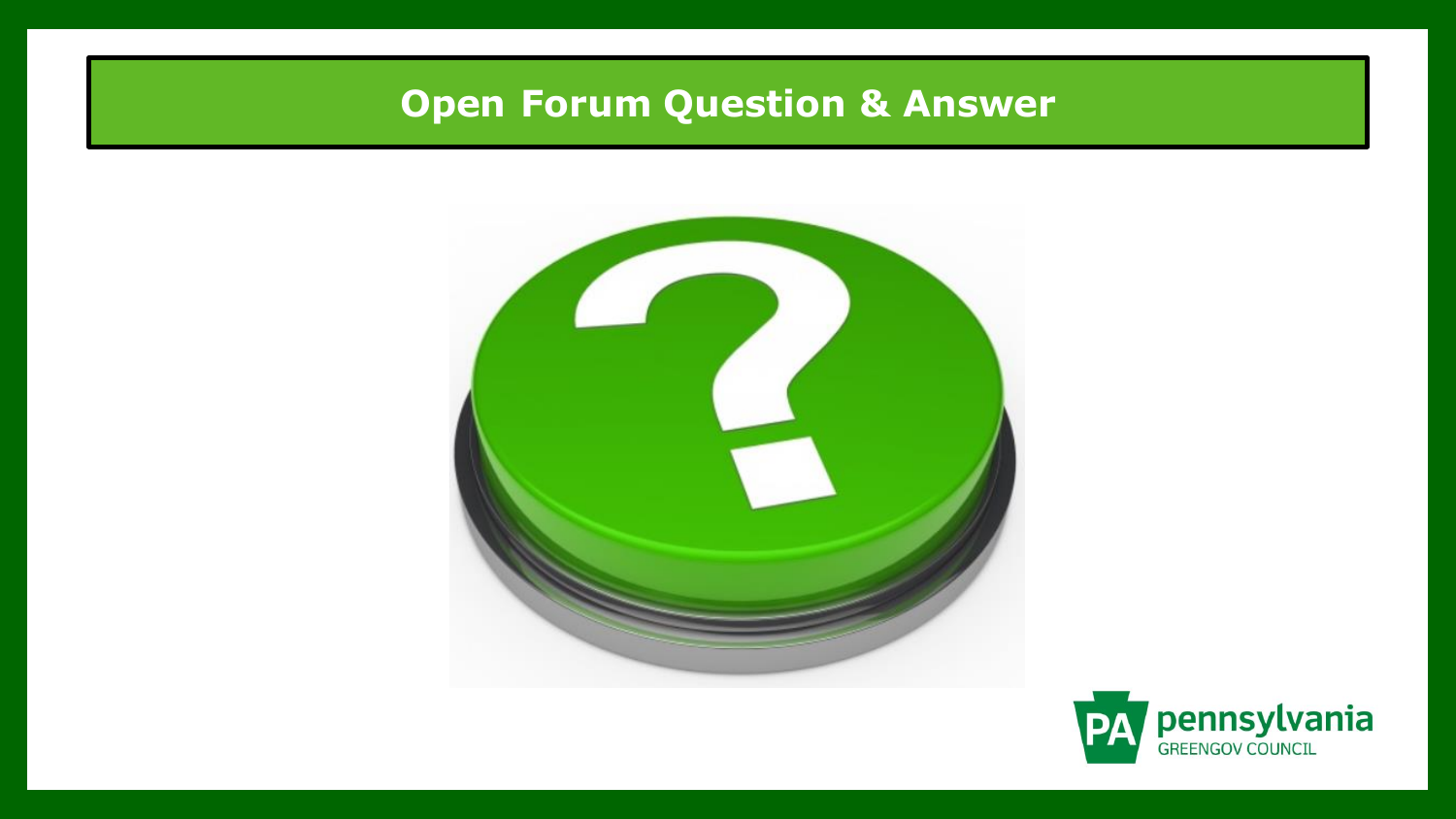# **Open Forum Question & Answer**